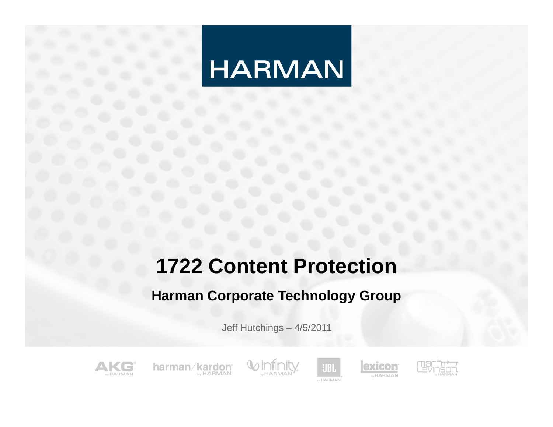## **1722 Content Protection**

#### **Harman Corporate Technology Group**

Jeff Hutchings – 4/5/2011



harman/kardon **MARMAN** 





exicon

**by HARMAN**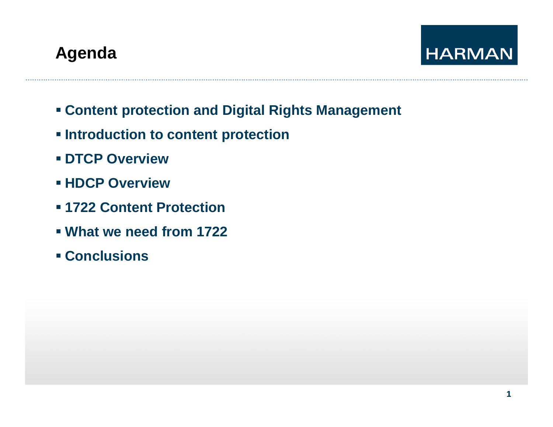## **Agenda**



- **Content protection and Digital Rights Management**
- **Introduction to content protection**
- **DTCP Overview**
- **HDCP Overview**
- **1722 Content Protection**
- **What we need from 1722**
- **Conclusions**

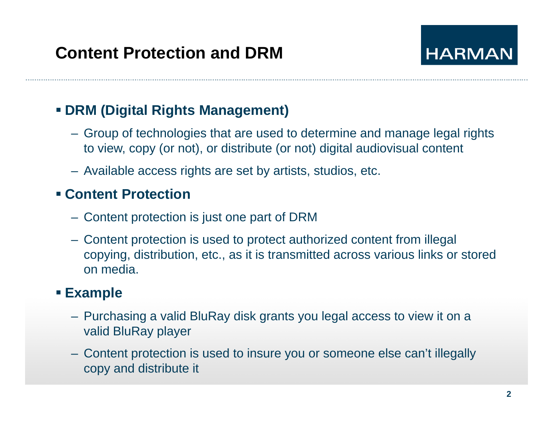

#### **DRM (Digital Rights Management)**

- Group of technologies that are used to determine and manage legal rights to view, copy (or not), or distribute (or not) digital audiovisual content
- Available access rights are set by artists, studios, etc.

#### **Content Protection**

- Content protection is just one part of DRM
- $-$  Content protection is used to protect authorized content from illegal copying, distribution, etc., as it is transmitted across various links or stored on media.

#### **Example**

- Purchasing a valid BluRay disk grants you legal access to view it on a valid BluRay player
- Content protection is used to insure you or someone else can't illegally copy and distribute it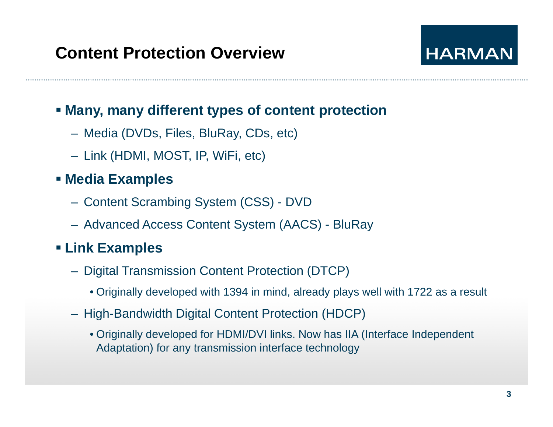

#### **Many, many different types of content protection**

- Media (DVDs, Files, BluRay, CDs, etc)
- Link (HDMI, MOST, IP, WiFi, etc)

#### **Media Exam ples**

- Content Scrambing System (CSS) DVD
- Advanced Access Content System (AACS) BluRay

#### **Link Examples**

- Digital Transmission Content Protection (DTCP)
	- $\bullet$  Originally developed with 1394 in mind, already plays well with 1722 as a result
- High-Bandwidth Digital Content Protection (HDCP)
	- Originally developed for HDMI/DVI links. Now has IIA (Interface Independent Adaptation) for any transmission interface technology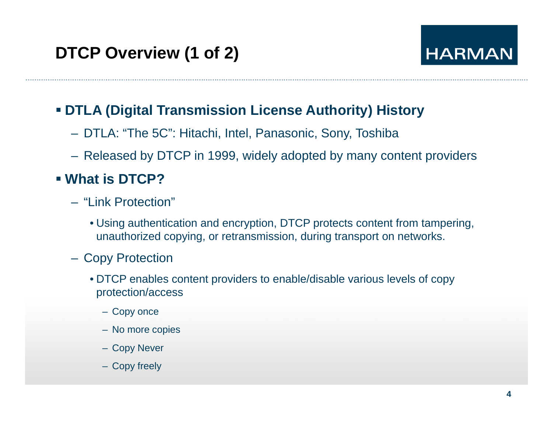#### **DTLA (Digital Transmission License Authority) History**

- DTLA: "The 5C": Hitachi, Intel, Panasonic, Sony, Toshiba
- Released by DTCP in 1999, widely adopted by many content providers

#### **What is DTCP?**

- "Link Protection"
	- Using authentication and encryption, DTCP protects content from tampering, unauthorized copying, or retransmission, during transport on networks.
- Copy Protection
	- DTCP enables content providers to enable/disable various levels of copy protection/access
		- Copy once
		- No more copies
		- Copy Never
		- Copy freely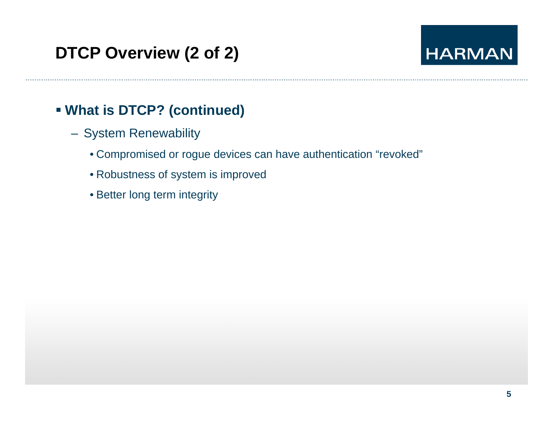#### **What is DTCP? (continued)**

- System Renewability
	- Compromised or rogue devices can have authentication "revoked"
	- Robustness of system is improved
	- Better long term integrity

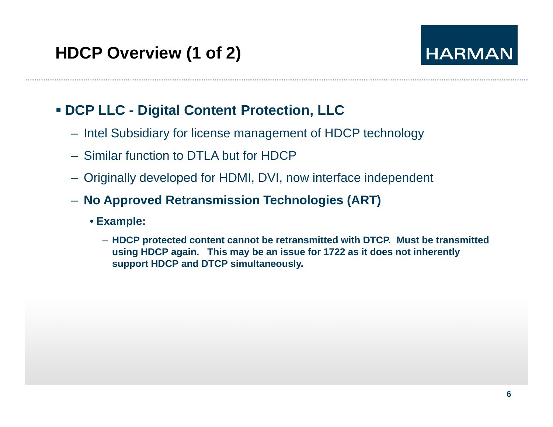#### **DCP LLC - Digital Content Protection, LLC**

- Intel Subsidiary for license management of HDCP technology
- Similar function to DTLA but for HDCP
- Originally developed for HDMI, DVI, now interface independent
- **No Approved Retransmission Technologies (ART)**
	- **Example:**
		- HDCP protected content cannot be retransmitted with DTCP. Must be transmitted **using HDCP again. This may be an issue for 1722 as it does not inherently support HDCP and DTCP simultaneously.**

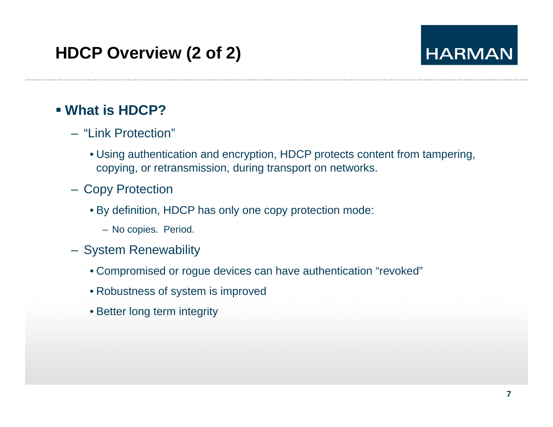## **HDCP Overview (2 of 2)**

## **HARMAN**

#### **What is HDCP?**

- "Link Protection"
	- Using authentication and encryption, HDCP protects content from tampering, copying, or retransmission, during transport on networks.
- Copy Protection
	- By definition, HDCP has only one copy protection mode:
		- No copies. Period.
- System Renewability
	- Compromised or rogue devices can have authentication "revoked"
	- Robustness of system is improved
	- Better long term integrity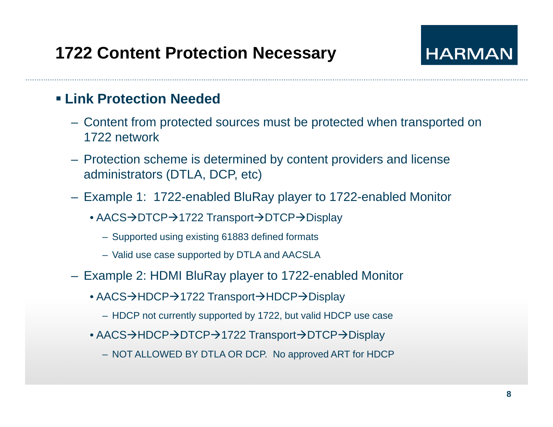## **1722 Content Protection Necessary**

## **HARMAN**

#### **Link Protection Needed**

- Content from protected sources must be protected when transported on 1722 network
- Protection scheme is determined by content providers and license administrators (DTLA, DCP, etc)
- Example 1: 1722-enabled BluRay player to 1722-enabled Monitor
	- ∙ AACS→DTCP→1722 Transport→DTCP→Display
		- Supported using existing 61883 defined formats
		- Valid use case supported by DTLA and AACSLA
- Example 2: HDMI BluRay player to 1722-enabled Monitor
	- AACS→HDCP→1722 Transport→HDCP→Display
		- HDCP not currently supported by 1722, but valid HDCP use case
	- ∙ AACS→HDCP→DTCP→1722 Transport→DTCP→Display
		- NOT ALLOWED BY DTLA OR DCP. No approved ART for HDCP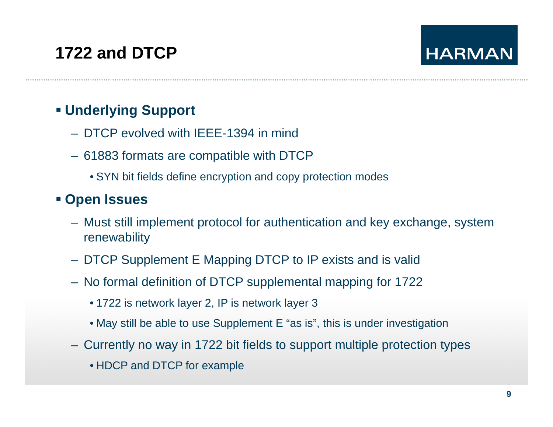## **1722 and DTCP**

## **HARMAN**

#### **Underlying Support**

- DTCP evolved with IEEE-1394 in mind
- 61883 formats are compatible with DTCP
	- SYN bit fields define encryption and copy protection modes

#### **Open Issues**

- Must still implement protocol for authentication and key exchange, system renewability
- DTCP Supplement E Mapping DTCP to IP exists and is valid
- No formal definition of DTCP supplemental mapping for 1722
	- 1722 is network layer 2, IP is network layer 3
	- May still be able to use Supplement E "as is", this is under investigation
- Currently no way in 1722 bit fields to support multiple protection types
	- HDCP and DTCP for example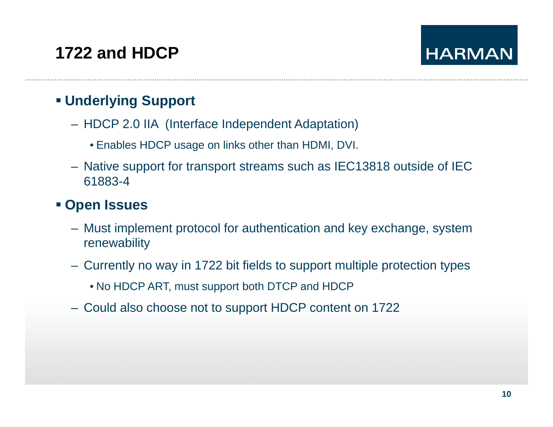## **1722 and HDCP**

#### **Underlying Support**

- HDCP 2.0 IIA (Interface Independent Adaptation)
	- Enables HDCP usage on links other than HDMI, DVI.
- Native support for transport streams such as IEC13818 outside of IEC 61883-4

#### **Open Issues**

- Must implement protocol for authentication and key exchange, system renewability
- Currently no way in 1722 bit fields to support multiple protection types
	- No HDCP ART, must support both DTCP and HDCP
- Could also choose not to support HDCP content on 1722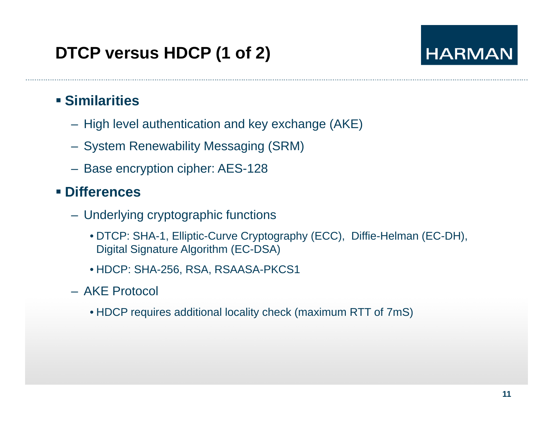## **DTCP versus HDCP (1 of 2)**

## **HARMAN**

#### **Similarities**

- High level authentication and key exchange (AKE)
- System Renewability Messaging (SRM)
- Base encryption cipher: AES-128

#### **Differences**

- Underlying cryptographic functions
	- DTCP: SHA-1, Elliptic-Curve Cryptography (ECC), Diffie-Helman (EC-DH), Digital Signature Algorithm (EC-DSA)
	- HDCP: SHA-256, RSA, RSAASA-PKCS1
- AKE Protocol
	- HDCP requires additional locality check (maximum RTT of 7mS)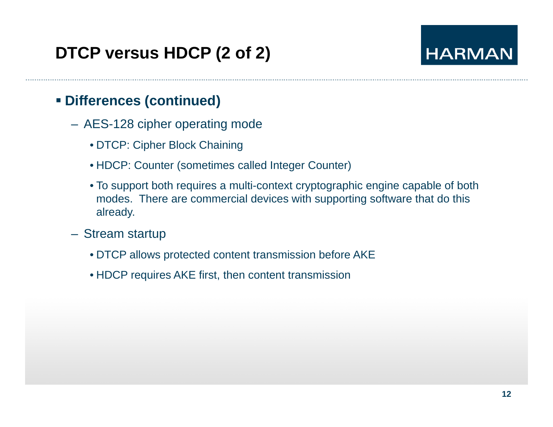## **DTCP versus HDCP (2 of 2)**

## **HARMAN**

#### **Differences (continued)**

- AES-128 cipher operating mode
	- DTCP: Cipher Block Chaining
	- HDCP: Counter (sometimes called Integer Counter)
	- To support both requires a multi-context cryptographic engine capable of both modes. There are commercial devices with supporting software that do this already.
- Stream startu p
	- DTCP allows protected content transmission before AKE
	- HDCP requires AKE first, then content transmission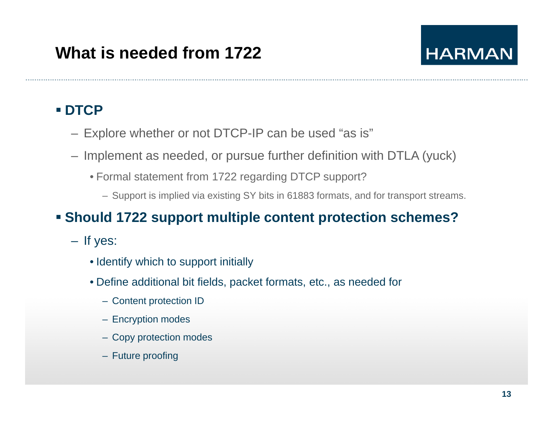#### **DTCP**

- Explore whether or not DTCP-IP can be used "as is "
- Implement as needed, or pursue further definition with DTLA (yuck)
	- Formal statement from 1722 regarding DTCP support?
		- Support is implied via existing SY bits in 61883 formats, and for transport streams.

#### **Should 1722 support multiple content protection schemes?**

- If yes:
	- Identify which to support initially
	- Define additional bit fields, packet formats, etc., as needed for
		- Content protection ID
		- Encryption modes
		- Copy protection modes
		- Future proofing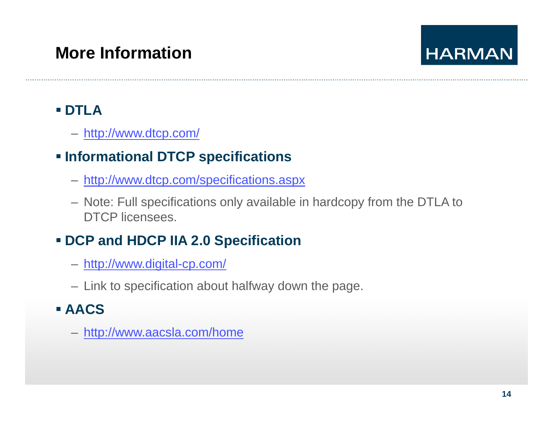## **More Information**

## **HARMAN**

#### **DTLA**

– <u>http://www.dtcp.com/</u>

### **Informational DTCP specifications**

- <u>http://www.dtcp.com/specifications.aspx</u>
- Note: Full specifications only available in hardcopy from the DTLA to DTCP licensees.

## **DCP and HDCP IIA 2 0 Specification 2.0**

- http://www.digital-cp.com/
- Link to specification about halfway down the page.

#### **AACS**

– http://www.aacsla.com/home